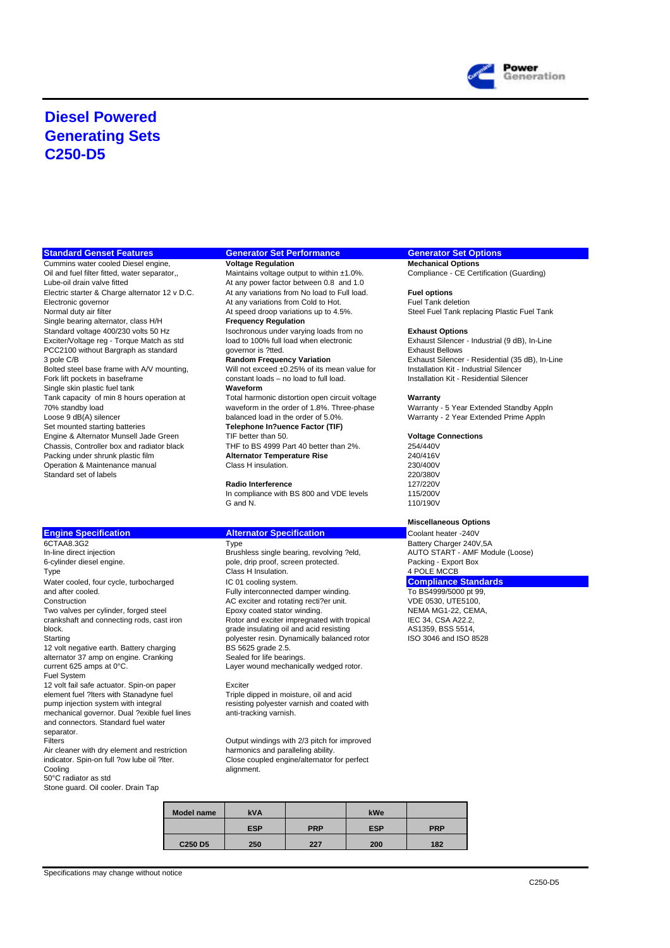

## **Diesel Powered Generating Sets C250-D5**

### **Standard Genset Features Generator Set Performance Generator Set Options**

Cummins water cooled Diesel engine, **Voltage Regulation Mechanical Options** Oil and fuel filter fitted, water separator,, Maintains voltage output to within ±1.0%. Compliance - CE Certification (Guarding) Lube-oil drain valve fitted At any power factor between 0.8 and 1.0 Electric starter & Charge alternator 12 v D.C. At any variations from No load to Full load. **Fuel options**<br>Electronic governor **At any variations from Cold to Hot.** Fuel Tank deletion Electronic governor **At any variations from Cold to Hot.** At any variations from Cold to Hot. Fund deletions up to 4.5%. Single bearing alternator, class H/H **Frequency Regulation** Standard voltage 400/230 volts 50 Hz<br>
Exciter/Voltage reg - Torque Match as std **Interpret is a Contage to August Options**<br>
Exhaust Silencer - Industrial (9 dB), In-Line Exciter/Voltage reg - Torque Match as std load to 100% full load when electronic Exhaust Silencer - Industrial CSC - Industrial CSC - Industrial CSC - Industrial Exhaust Bellows<br>
PCC2100 without Bargraph as standard cover PCC2100 without Bargraph as standard 3 pole C/B Bolted steel base frame with A/V mounting, Will not exceed ±0.25% of its mean value for Installation Kit - Industrial Silencer<br>Fork lift pockets in baseframe constant loads – no load to full load. Installation Kit - Reside Single skin plastic fuel tank **Waveform** Tank capacity of min 8 hours operation at Total harmonic distortion open circuit voltage **Warranty**<br>Total harmonic distortion open circuit voltage **Warranty - 5 Year Extended Standby Appln**<br>Total the order of 1.8%. Three-p 70% standby load waveform in the order of 1.8%. Three-phase<br>
Loose 9 dB(A) silencer based balanced load in the order of 5.0%. Loose 9 dB(A) silencer can balanced load in the order of 5.0%.<br>
Set mounted starting batteries **Telephone In?uence Factor (TIF)** Set mounted starting batteries and the order of the Methone In?uence Factor (TIF) Engine & Alternator Munsell Jade Green TIF better than 50. **Voltage Connections** Chassis, Controller box and radiator black THF to BS 4999 Part 40 better than 2%.<br>Packing under shrunk plastic film **Alternator Temperature Rise** 240/416V Packing under shrunk plastic film **Alternator Temperature Rise** 240/416V Operation & Maintenance manual Class H insulation.<br>
Standard set of labels (230/400V<br>
220/380V Standard set of labels 220/380V<br>Radio Interference 200/380V<br>Radio Interference 200/380V

In-line direct injection and the state of the Brushless single bearing, revolving ?eld, AUTO START - AMF - AMF<br>
Brushless single bearing, revolving ?eld, AUTO START - AMF G-cylinder diesel engine. Type Class H Insulation. Water cooled, four cycle, turbocharged **IC 01** cooling system.<br>
Fully interconnected damper winding. To BS4999/5000 pt 99. and after cooled. The state of the state of the Fully interconnected damper winding.<br>Construction Construction Construction Construction Construction CONSUMED AC exciter and rotating recti?er unit. Two valves per cylinder, forged steel Epoxy coated stator winding. NEMA MG1-22, CEN<br>
Examined the trankshaft and connecting rods, cast iron Rotor and exciter impregnated with tropical IEC 34, CSA A22.2, crankshaft and connecting rods, cast iron Rotor and exciter impregnated with tropical IEC 34, CSA A22.2,<br>
grade insulating oil and acid resisting on AS1359. BSS 5514. block. Grade insulating oil and acid resisting of the AS1359, BSS 5514, and acid resisting and acid resisting  $\sim$  AS1359, BSS 5514, and SO 8528 12 volt negative earth. Battery charging  $B = 5625$  grade 2.5.<br>
alternator 37 amp on engine. Cranking Sealed for life bearings. alternator 37 amp on engine. Cranking<br>current 625 amps at 0°C. Fuel System 12 volt fail safe actuator. Spin-on paper **Exciter** Exciter<br>
Exciter element fuel ?Iters with Stanadyne fuel **Exciter Exciter** Triple dipped in moisture, oil and acid element fuel ?lters with Stanadyne fuel pump injection system with integral resisting polyester varnish and coated with mechanical governor. Dual ?exible fuel lines anti-tracking varnish. and connectors. Standard fuel water separator.

Air cleaner with dry element and restriction<br>indicator. Spin-on full ?ow lube oil ?lter. indicator. Spin-on full ?ow lube oil ?lter. Close coupled engine/alternator for perfect<br>Cooling<br>alignment. 50°C radiator as std Stone guard. Oil cooler. Drain Tap

Telephone In?uence Factor (TIF)<br>TIF better than 50.

**Radio Interference** 127/220V<br>In compliance with BS 800 and VDE levels 115/200V In compliance with BS 800 and VDE levels  $G$  and N

6-cylinder diesel engine. pole, drip proof, screen protected. Packing - Export Box Construction AC exciter and rotating recti?er unit. VDE 0530, UTE5100, polyester resin. Dynamically balanced rotor BS 5625 grade 2.5. Layer wound mechanically wedged rotor.

Filters Cutput windings with 2/3 pitch for improved<br>Air cleaner with dry element and restriction harmonics and paralleling ability. alignment.

| <b>Model name</b>               | kVA        |            | kWe        |            |
|---------------------------------|------------|------------|------------|------------|
|                                 | <b>ESP</b> | <b>PRP</b> | <b>ESP</b> | <b>PRP</b> |
| C <sub>250</sub> D <sub>5</sub> | 250        | 227        | 200        | 182        |

Steel Fuel Tank replacing Plastic Fuel Tank

3 pole C/B **Random Frequency Variation** Exhaust Silencer - Residential (35 dB), In-Line Installation Kit - Residential Silencer

110/190V

## **Miscellaneous Options**

**Engine Specification**<br> **Alternator Specification**<br>
Type **CTAA8.3G2** Battery Charger 240V 6CTAA8.3G2 Type Type Type Type Battery Charger 240V,5A<br>In-line direct injection Club Charger 200V,5A Brushless single bearing, revolving ?eld, AUTO START - AMF Module (Loose)